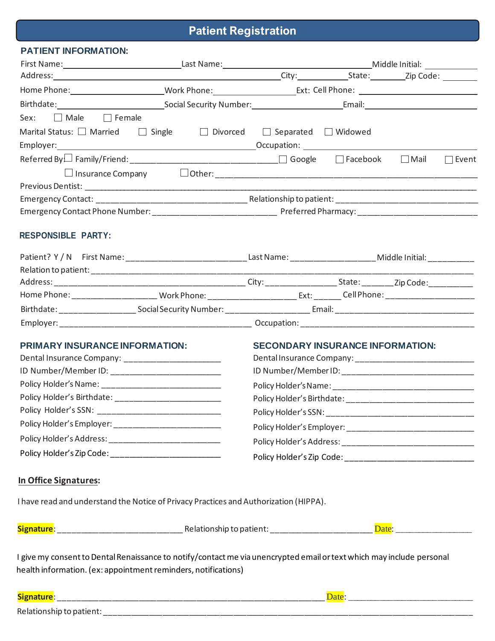# **Patient Registration**

| Marital Status: $\Box$ Married $\Box$ Single | □ Divorced □ Separated □ Widowed      |                                                                |                                                                                       |                                                                                                                                                                                                                                                                                                                                                                                                                   |
|----------------------------------------------|---------------------------------------|----------------------------------------------------------------|---------------------------------------------------------------------------------------|-------------------------------------------------------------------------------------------------------------------------------------------------------------------------------------------------------------------------------------------------------------------------------------------------------------------------------------------------------------------------------------------------------------------|
|                                              |                                       |                                                                |                                                                                       |                                                                                                                                                                                                                                                                                                                                                                                                                   |
|                                              |                                       |                                                                |                                                                                       | $\Box$ Event                                                                                                                                                                                                                                                                                                                                                                                                      |
|                                              |                                       |                                                                |                                                                                       |                                                                                                                                                                                                                                                                                                                                                                                                                   |
|                                              |                                       |                                                                |                                                                                       |                                                                                                                                                                                                                                                                                                                                                                                                                   |
|                                              |                                       |                                                                |                                                                                       |                                                                                                                                                                                                                                                                                                                                                                                                                   |
|                                              |                                       |                                                                |                                                                                       |                                                                                                                                                                                                                                                                                                                                                                                                                   |
|                                              |                                       |                                                                |                                                                                       |                                                                                                                                                                                                                                                                                                                                                                                                                   |
|                                              |                                       |                                                                |                                                                                       |                                                                                                                                                                                                                                                                                                                                                                                                                   |
|                                              |                                       |                                                                |                                                                                       |                                                                                                                                                                                                                                                                                                                                                                                                                   |
|                                              |                                       |                                                                |                                                                                       |                                                                                                                                                                                                                                                                                                                                                                                                                   |
|                                              |                                       |                                                                |                                                                                       |                                                                                                                                                                                                                                                                                                                                                                                                                   |
|                                              |                                       |                                                                |                                                                                       |                                                                                                                                                                                                                                                                                                                                                                                                                   |
|                                              |                                       |                                                                |                                                                                       |                                                                                                                                                                                                                                                                                                                                                                                                                   |
|                                              |                                       |                                                                |                                                                                       |                                                                                                                                                                                                                                                                                                                                                                                                                   |
|                                              |                                       |                                                                |                                                                                       |                                                                                                                                                                                                                                                                                                                                                                                                                   |
|                                              |                                       |                                                                |                                                                                       |                                                                                                                                                                                                                                                                                                                                                                                                                   |
|                                              |                                       |                                                                |                                                                                       |                                                                                                                                                                                                                                                                                                                                                                                                                   |
|                                              |                                       |                                                                |                                                                                       |                                                                                                                                                                                                                                                                                                                                                                                                                   |
|                                              |                                       |                                                                |                                                                                       |                                                                                                                                                                                                                                                                                                                                                                                                                   |
|                                              |                                       |                                                                |                                                                                       |                                                                                                                                                                                                                                                                                                                                                                                                                   |
|                                              |                                       |                                                                |                                                                                       |                                                                                                                                                                                                                                                                                                                                                                                                                   |
|                                              |                                       |                                                                |                                                                                       |                                                                                                                                                                                                                                                                                                                                                                                                                   |
|                                              |                                       |                                                                |                                                                                       |                                                                                                                                                                                                                                                                                                                                                                                                                   |
|                                              |                                       |                                                                |                                                                                       |                                                                                                                                                                                                                                                                                                                                                                                                                   |
|                                              |                                       |                                                                |                                                                                       |                                                                                                                                                                                                                                                                                                                                                                                                                   |
|                                              |                                       |                                                                |                                                                                       |                                                                                                                                                                                                                                                                                                                                                                                                                   |
|                                              |                                       |                                                                |                                                                                       |                                                                                                                                                                                                                                                                                                                                                                                                                   |
|                                              |                                       |                                                                |                                                                                       |                                                                                                                                                                                                                                                                                                                                                                                                                   |
|                                              |                                       |                                                                |                                                                                       |                                                                                                                                                                                                                                                                                                                                                                                                                   |
|                                              |                                       |                                                                |                                                                                       |                                                                                                                                                                                                                                                                                                                                                                                                                   |
|                                              |                                       |                                                                |                                                                                       |                                                                                                                                                                                                                                                                                                                                                                                                                   |
|                                              |                                       |                                                                |                                                                                       |                                                                                                                                                                                                                                                                                                                                                                                                                   |
|                                              | <b>PRIMARY INSURANCE INFORMATION:</b> | health information. (ex: appointment reminders, notifications) | I have read and understand the Notice of Privacy Practices and Authorization (HIPPA). | Patient? Y / N First Name: ________________________________Last Name: _________________________Middle Initial: ____________<br>Home Phone: ___________________________Work Phone: _______________________________Cell Phone: ________________<br><b>SECONDARY INSURANCE INFORMATION:</b><br>I give my consent to Dental Renaissance to notify/contact me via unencrypted email or text which may include personal |

Relationship to patient: \_\_\_\_\_\_\_\_\_\_\_\_\_\_\_\_\_\_\_\_\_\_\_\_\_\_\_\_\_\_\_\_\_\_\_\_\_\_\_\_\_\_\_\_\_\_\_\_\_\_\_\_\_\_\_\_\_\_\_\_\_\_\_\_\_\_\_\_\_\_\_\_\_\_\_\_\_\_\_\_\_\_\_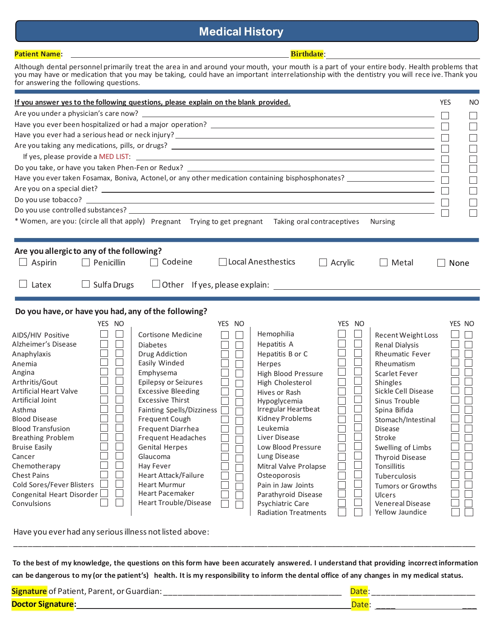# **Medical History**

| <b>Patient Name:</b>                                                                                                                                                                                                                                                                                                                 |                                                                       | <b>Birthdate:</b>              |                                 |                   |
|--------------------------------------------------------------------------------------------------------------------------------------------------------------------------------------------------------------------------------------------------------------------------------------------------------------------------------------|-----------------------------------------------------------------------|--------------------------------|---------------------------------|-------------------|
| Although dental personnel primarily treat the area in and around your mouth, your mouth is a part of your entire body. Health problems that<br>you may have or medication that you may be taking, could have an important interrelationship with the dentistry you will receive. Thank you<br>for answering the following questions. |                                                                       |                                |                                 |                   |
| If you answer yes to the following questions, please explain on the blank provided.                                                                                                                                                                                                                                                  |                                                                       |                                |                                 | <b>YES</b><br>NO. |
|                                                                                                                                                                                                                                                                                                                                      |                                                                       |                                |                                 |                   |
|                                                                                                                                                                                                                                                                                                                                      |                                                                       |                                |                                 |                   |
|                                                                                                                                                                                                                                                                                                                                      |                                                                       |                                |                                 |                   |
| Have you ever had a serious head or neck injury? $\overline{\phantom{a}}$                                                                                                                                                                                                                                                            |                                                                       |                                |                                 |                   |
|                                                                                                                                                                                                                                                                                                                                      |                                                                       |                                |                                 |                   |
| If yes, please provide a MED LIST: $\Box$                                                                                                                                                                                                                                                                                            |                                                                       |                                |                                 |                   |
|                                                                                                                                                                                                                                                                                                                                      |                                                                       |                                |                                 |                   |
| Have you ever taken Fosamax, Boniva, Actonel, or any other medication containing bisphosphonates? $\Box$                                                                                                                                                                                                                             |                                                                       |                                |                                 |                   |
| Are you on a special diet?<br><u>Letter and the second contract of the second contract of the second contract of the second contract of the second contract of the second contract of the second contract of the second contract</u>                                                                                                 |                                                                       |                                |                                 |                   |
|                                                                                                                                                                                                                                                                                                                                      |                                                                       |                                |                                 |                   |
|                                                                                                                                                                                                                                                                                                                                      |                                                                       |                                |                                 |                   |
| * Women, are you: (circle all that apply) Pregnant Trying to get pregnant Taking oral contraceptives Nursing                                                                                                                                                                                                                         |                                                                       |                                |                                 |                   |
|                                                                                                                                                                                                                                                                                                                                      |                                                                       |                                |                                 |                   |
| Are you allergic to any of the following?<br>Aspirin<br>$\Box$ Penicillin<br>$\Box$<br>$\Box$ Latex<br>$\Box$ Sulfa Drugs                                                                                                                                                                                                            | $\Box$ Codeine                                                        | □ Local Anesthestics<br>$\Box$ | Acrylic<br>  Metal              | None              |
|                                                                                                                                                                                                                                                                                                                                      |                                                                       |                                |                                 |                   |
|                                                                                                                                                                                                                                                                                                                                      |                                                                       |                                |                                 |                   |
| Do you have, or have you had, any of the following?                                                                                                                                                                                                                                                                                  |                                                                       |                                |                                 |                   |
| YES NO                                                                                                                                                                                                                                                                                                                               | YES NO                                                                |                                | YES NO                          | YES NO            |
| AIDS/HIV Positive                                                                                                                                                                                                                                                                                                                    | Cortisone Medicine<br>$\Box$<br>$\Box$                                | Hemophilia                     | Recent Weight Loss              |                   |
| Alzheimer's Disease<br><b>Diabetes</b>                                                                                                                                                                                                                                                                                               | $\Box$<br>$\Box$                                                      | Hepatitis A                    | <b>Renal Dialysis</b>           |                   |
| Anaphylaxis                                                                                                                                                                                                                                                                                                                          | Drug Addiction<br>$\Box$                                              | Hepatitis B or C               | <b>Rheumatic Fever</b>          |                   |
| Anemia                                                                                                                                                                                                                                                                                                                               | $\Box$<br>Easily Winded                                               | Herpes                         | Rheumatism                      |                   |
| Angina                                                                                                                                                                                                                                                                                                                               | $\Box$<br>Emphysema                                                   | High Blood Pressure            | Scarlet Fever                   |                   |
| Arthritis/Gout<br><b>Artificial Heart Valve</b>                                                                                                                                                                                                                                                                                      | Epilepsy or Seizures<br>$\Box$<br><b>Excessive Bleeding</b><br>$\Box$ | High Cholesterol               | Shingles<br>Sickle Cell Disease | <b>College</b>    |
| Artificial Joint                                                                                                                                                                                                                                                                                                                     | <b>Excessive Thirst</b><br>$\Box$                                     | Hives or Rash<br>Hypoglycemia  | Sinus Trouble                   |                   |
| Asthma                                                                                                                                                                                                                                                                                                                               | Fainting Spells/Dizziness $\Box$                                      | Irregular Heartbeat            | Spina Bifida                    |                   |
| $\mathbf{L}$<br><b>Blood Disease</b>                                                                                                                                                                                                                                                                                                 | Frequent Cough<br>$\Box$                                              | Kidney Problems                | Stomach/Intestinal              | __<br>ىسا         |
| <b>Blood Transfusion</b>                                                                                                                                                                                                                                                                                                             | Frequent Diarrhea<br>$\Box$                                           | Leukemia                       | <b>Disease</b>                  |                   |
| <b>Breathing Problem</b>                                                                                                                                                                                                                                                                                                             | <b>Frequent Headaches</b><br>Г                                        | Liver Disease                  | Stroke                          |                   |
| <b>Bruise Easily</b>                                                                                                                                                                                                                                                                                                                 | <b>Genital Herpes</b>                                                 | Low Blood Pressure             | Swelling of Limbs               |                   |
| Cancer                                                                                                                                                                                                                                                                                                                               | Glaucoma                                                              | Lung Disease                   | <b>Thyroid Disease</b>          |                   |
| Chemotherapy                                                                                                                                                                                                                                                                                                                         | Hay Fever<br>$\Box$                                                   | Mitral Valve Prolapse          | Tonsillitis                     |                   |
| <b>Chest Pains</b>                                                                                                                                                                                                                                                                                                                   | Heart Attack/Failure<br>$\Box$                                        | Osteoporosis                   | Tuberculosis                    |                   |
| Cold Sores/Fever Blisters                                                                                                                                                                                                                                                                                                            | <b>Heart Murmur</b>                                                   | Pain in Jaw Joints             | Tumors or Growths               |                   |
| Congenital Heart Disorder                                                                                                                                                                                                                                                                                                            | Heart Pacemaker                                                       | Parathyroid Disease            | <b>Ulcers</b>                   |                   |
| $\mathbf{I}$<br>Convulsions                                                                                                                                                                                                                                                                                                          | Heart Trouble/Disease<br>$\vert \ \ \vert$                            | Psychiatric Care               | Venereal Disease                |                   |
|                                                                                                                                                                                                                                                                                                                                      |                                                                       | <b>Radiation Treatments</b>    | Yellow Jaundice                 |                   |

Have you ever had any serious illness not listed above:

 **To the best of my knowledge, the questions on this form have been accurately answered. I understand that providing incorrectinformation**  can be dangerous to my (or the patient's) health. It is my responsibility to inform the dental office of any changes in my medical status.

\_\_\_\_\_\_\_\_\_\_\_\_\_\_\_\_\_\_\_\_\_\_\_\_\_\_\_\_\_\_\_\_\_\_\_\_\_\_\_\_\_\_\_\_\_\_\_\_\_\_\_\_\_\_\_\_\_\_\_\_\_\_\_\_\_\_\_\_\_\_\_\_\_\_\_\_\_\_\_\_\_\_\_\_\_\_\_\_\_\_\_\_\_\_\_\_\_\_\_\_\_\_\_\_

| <b>Signature</b> of Patient, Parent, or Guardian: |  |
|---------------------------------------------------|--|
| <b>Doctor</b>                                     |  |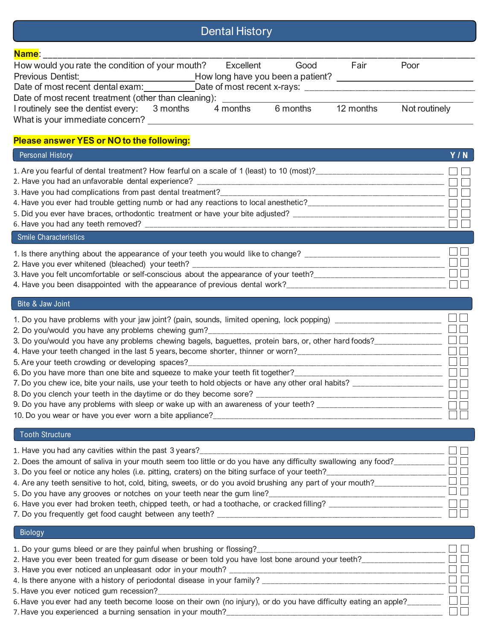# Dental History

| <b>Contract Contract Contract Contract Contract Contract Contract Contract Contract Contract Contract Contract Co</b><br>and the state of the state of the state of the state of the state of the state of the state of the state of th | <b>Service Service</b> | $\mathcal{L}(\mathcal{L})$ and $\mathcal{L}(\mathcal{L})$ and $\mathcal{L}(\mathcal{L})$ and $\mathcal{L}(\mathcal{L})$ and $\mathcal{L}(\mathcal{L})$ |                                                                                                                       |  |
|-----------------------------------------------------------------------------------------------------------------------------------------------------------------------------------------------------------------------------------------|------------------------|--------------------------------------------------------------------------------------------------------------------------------------------------------|-----------------------------------------------------------------------------------------------------------------------|--|
| <b>Contract Contract Contract Contract Contract Contract Contract Contract Contract Contract Contract Contract Co</b>                                                                                                                   | <b>Service Service</b> | _____                                                                                                                                                  | <b>Contract Contract Contract Contract Contract Contract Contract Contract Contract Contract Contract Contract Co</b> |  |

| Name:                                                |                                   |          |           |               |  |
|------------------------------------------------------|-----------------------------------|----------|-----------|---------------|--|
| How would you rate the condition of your mouth?      | Excellent                         | Good     | Fair      | Poor          |  |
| <b>Previous Dentist:</b>                             | How long have you been a patient? |          |           |               |  |
| Date of most recent dental exam:                     | Date of most recent x-rays:       |          |           |               |  |
| Date of most recent treatment (other than cleaning): |                                   |          |           |               |  |
| I routinely see the dentist every: 3 months          | 4 months                          | 6 months | 12 months | Not routinely |  |
| What is your immediate concern?                      |                                   |          |           |               |  |

# **Please answer YES or NOto the following:**

| <b>Personal History</b>                                                                              | Y/N |
|------------------------------------------------------------------------------------------------------|-----|
| 1. Are you fearful of dental treatment? How fearful on a scale of 1 (least) to 10 (most)? _________  |     |
| 2. Have you had an unfavorable dental experience? ______________________________                     |     |
| 3. Have you had complications from past dental treatment?                                            |     |
| 4. Have you ever had trouble getting numb or had any reactions to local anesthetic?_________________ |     |
| 5. Did you ever have braces, orthodontic treatment or have your bite adjusted? __________            |     |
|                                                                                                      |     |
| <b>Smile Characteristics</b>                                                                         |     |
| 1. Is there anything about the appearance of your teeth you would like to change? _______            |     |
| 2. Have you ever whitened (bleached) your teeth? __________                                          |     |
| 3. Have you felt uncomfortable or self-conscious about the appearance of your teeth?                 |     |
| 4. Have you been disappointed with the appearance of previous dental work?__________________________ |     |
|                                                                                                      |     |

### Bite & Jaw Joint

| 1. Do you have problems with your jaw joint? (pain, sounds, limited opening, lock popping) ___<br>2. Do you/would you have any problems chewing gum?______________________________ |  |
|------------------------------------------------------------------------------------------------------------------------------------------------------------------------------------|--|
| 3. Do you/would you have any problems chewing bagels, baguettes, protein bars, or, other hard foods?_____                                                                          |  |
| 4. Have your teeth changed in the last 5 years, become shorter, thinner or worn?______                                                                                             |  |
| 5. Are your teeth crowding or developing spaces?_____________                                                                                                                      |  |
| 6. Do you have more than one bite and squeeze to make your teeth fit together?_____________________                                                                                |  |
| 7. Do you chew ice, bite your nails, use your teeth to hold objects or have any other oral habits? _____                                                                           |  |
| 8. Do you clench your teeth in the daytime or do they become sore? ____                                                                                                            |  |
| 9. Do you have any problems with sleep or wake up with an awareness of your teeth? ____                                                                                            |  |
| 10. Do you wear or have you ever worn a bite appliance?                                                                                                                            |  |

### Tooth Structure

| 1. Have you had any cavities within the past 3 years?                                                         |  |
|---------------------------------------------------------------------------------------------------------------|--|
| 2. Does the amount of saliva in your mouth seem too little or do you have any difficulty swallowing any food? |  |
| TI ET<br>3. Do you feel or notice any holes (i.e. pitting, craters) on the biting surface of your teeth?      |  |
| 4. Are any teeth sensitive to hot, cold, biting, sweets, or do you avoid brushing any part of your mouth?     |  |
| 5. Do you have any grooves or notches on your teeth near the gum line?                                        |  |
| 6. Have you ever had broken teeth, chipped teeth, or had a toothache, or cracked filling?                     |  |
| 7. Do you frequently get food caught between any teeth? _                                                     |  |

# Biology

| 1. Do your gums bleed or are they painful when brushing or flossing?____________                                 |  |
|------------------------------------------------------------------------------------------------------------------|--|
| 2. Have you ever been treated for gum disease or been told you have lost bone around your teeth?                 |  |
| 3. Have you ever noticed an unpleasant odor in your mouth?                                                       |  |
| 4. Is there anyone with a history of periodontal disease in your family? ____                                    |  |
| 5. Have you ever noticed gum recession?                                                                          |  |
| 6. Have you ever had any teeth become loose on their own (no injury), or do you have difficulty eating an apple? |  |
| 7. Have you experienced a burning sensation in your mouth?                                                       |  |